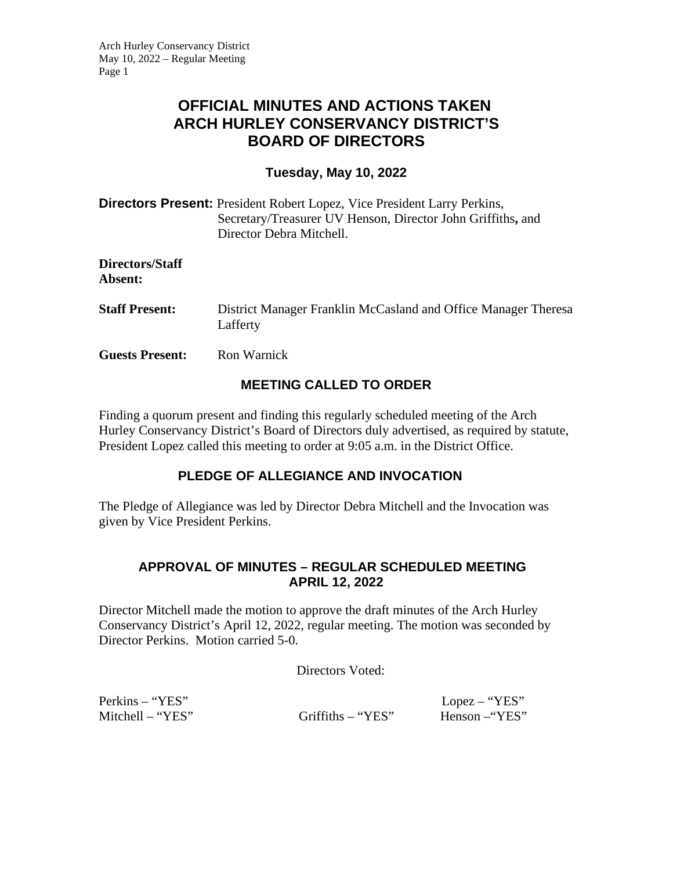# **OFFICIAL MINUTES AND ACTIONS TAKEN ARCH HURLEY CONSERVANCY DISTRICT'S BOARD OF DIRECTORS**

### **Tuesday, May 10, 2022**

| <b>Directors Present:</b> President Robert Lopez, Vice President Larry Perkins, |
|---------------------------------------------------------------------------------|
| Secretary/Treasurer UV Henson, Director John Griffiths, and                     |
| Director Debra Mitchell.                                                        |

**Directors/Staff Absent:** 

- **Staff Present:** District Manager Franklin McCasland and Office Manager Theresa Lafferty
- **Guests Present:** Ron Warnick

# **MEETING CALLED TO ORDER**

Finding a quorum present and finding this regularly scheduled meeting of the Arch Hurley Conservancy District's Board of Directors duly advertised, as required by statute, President Lopez called this meeting to order at 9:05 a.m. in the District Office.

# **PLEDGE OF ALLEGIANCE AND INVOCATION**

The Pledge of Allegiance was led by Director Debra Mitchell and the Invocation was given by Vice President Perkins.

#### **APPROVAL OF MINUTES – REGULAR SCHEDULED MEETING APRIL 12, 2022**

Director Mitchell made the motion to approve the draft minutes of the Arch Hurley Conservancy District's April 12, 2022, regular meeting. The motion was seconded by Director Perkins. Motion carried 5-0.

Directors Voted:

Perkins – "YES" Lopez – "YES"

Mitchell – "YES" Griffiths – "YES" Henson –"YES"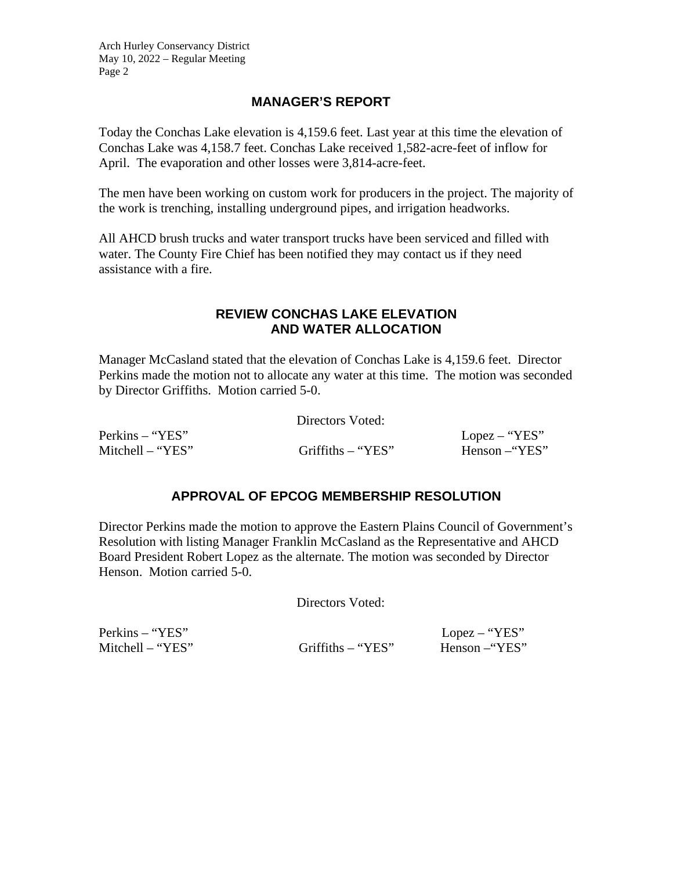Arch Hurley Conservancy District May 10, 2022 – Regular Meeting Page 2

# **MANAGER'S REPORT**

Today the Conchas Lake elevation is 4,159.6 feet. Last year at this time the elevation of Conchas Lake was 4,158.7 feet. Conchas Lake received 1,582-acre-feet of inflow for April. The evaporation and other losses were 3,814-acre-feet.

The men have been working on custom work for producers in the project. The majority of the work is trenching, installing underground pipes, and irrigation headworks.

All AHCD brush trucks and water transport trucks have been serviced and filled with water. The County Fire Chief has been notified they may contact us if they need assistance with a fire.

#### **REVIEW CONCHAS LAKE ELEVATION AND WATER ALLOCATION**

Manager McCasland stated that the elevation of Conchas Lake is 4,159.6 feet. Director Perkins made the motion not to allocate any water at this time. The motion was seconded by Director Griffiths. Motion carried 5-0.

Directors Voted:

Perkins – "YES" Lopez – "YES" Mitchell – "YES" Griffiths – "YES" Henson –"YES"

# **APPROVAL OF EPCOG MEMBERSHIP RESOLUTION**

Director Perkins made the motion to approve the Eastern Plains Council of Government's Resolution with listing Manager Franklin McCasland as the Representative and AHCD Board President Robert Lopez as the alternate. The motion was seconded by Director Henson. Motion carried 5-0.

Directors Voted:

Perkins – "YES" Lopez – "YES"

Mitchell – "YES" Griffiths – "YES" Henson –"YES"